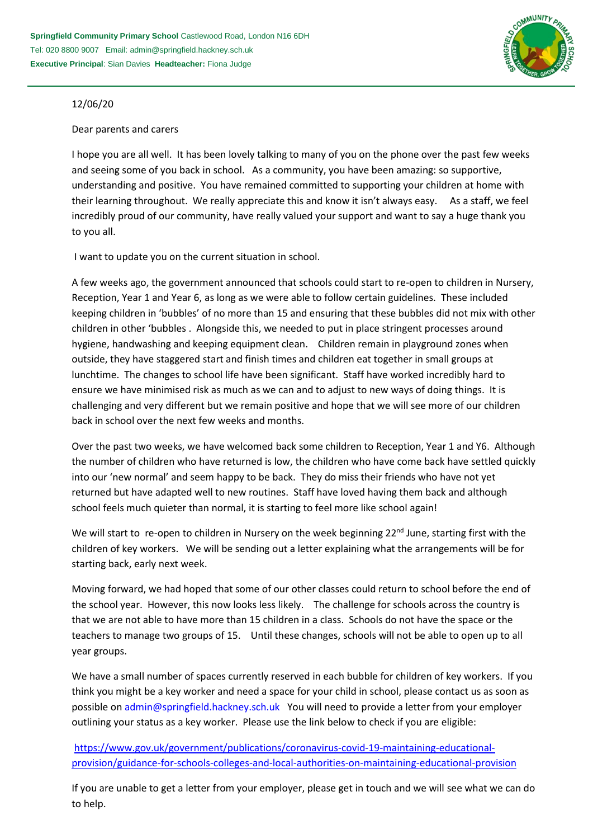

## 12/06/20

## Dear parents and carers

I hope you are all well. It has been lovely talking to many of you on the phone over the past few weeks and seeing some of you back in school. As a community, you have been amazing: so supportive, understanding and positive. You have remained committed to supporting your children at home with their learning throughout. We really appreciate this and know it isn't always easy. As a staff, we feel incredibly proud of our community, have really valued your support and want to say a huge thank you to you all.

I want to update you on the current situation in school.

A few weeks ago, the government announced that schools could start to re-open to children in Nursery, Reception, Year 1 and Year 6, as long as we were able to follow certain guidelines. These included keeping children in 'bubbles' of no more than 15 and ensuring that these bubbles did not mix with other children in other 'bubbles . Alongside this, we needed to put in place stringent processes around hygiene, handwashing and keeping equipment clean. Children remain in playground zones when outside, they have staggered start and finish times and children eat together in small groups at lunchtime. The changes to school life have been significant. Staff have worked incredibly hard to ensure we have minimised risk as much as we can and to adjust to new ways of doing things. It is challenging and very different but we remain positive and hope that we will see more of our children back in school over the next few weeks and months.

Over the past two weeks, we have welcomed back some children to Reception, Year 1 and Y6. Although the number of children who have returned is low, the children who have come back have settled quickly into our 'new normal' and seem happy to be back. They do miss their friends who have not yet returned but have adapted well to new routines. Staff have loved having them back and although school feels much quieter than normal, it is starting to feel more like school again!

We will start to re-open to children in Nursery on the week beginning  $22^{nd}$  June, starting first with the children of key workers. We will be sending out a letter explaining what the arrangements will be for starting back, early next week.

Moving forward, we had hoped that some of our other classes could return to school before the end of the school year. However, this now looks less likely. The challenge for schools across the country is that we are not able to have more than 15 children in a class. Schools do not have the space or the teachers to manage two groups of 15. Until these changes, schools will not be able to open up to all year groups.

We have a small number of spaces currently reserved in each bubble for children of key workers. If you think you might be a key worker and need a space for your child in school, please contact us as soon as possible on [admin@springfield.hackney.sch.uk](mailto:admin@springfield.hackney.sch.uk) You will need to provide a letter from your employer outlining your status as a key worker. Please use the link below to check if you are eligible:

[https://www.gov.uk/government/publications/coronavirus-covid-19-maintaining-educational](https://www.gov.uk/government/publications/coronavirus-covid-19-maintaining-educational-provision/guidance-for-schools-colleges-and-local-authorities-on-maintaining-educational-provision)[provision/guidance-for-schools-colleges-and-local-authorities-on-maintaining-educational-provision](https://www.gov.uk/government/publications/coronavirus-covid-19-maintaining-educational-provision/guidance-for-schools-colleges-and-local-authorities-on-maintaining-educational-provision)

If you are unable to get a letter from your employer, please get in touch and we will see what we can do to help.